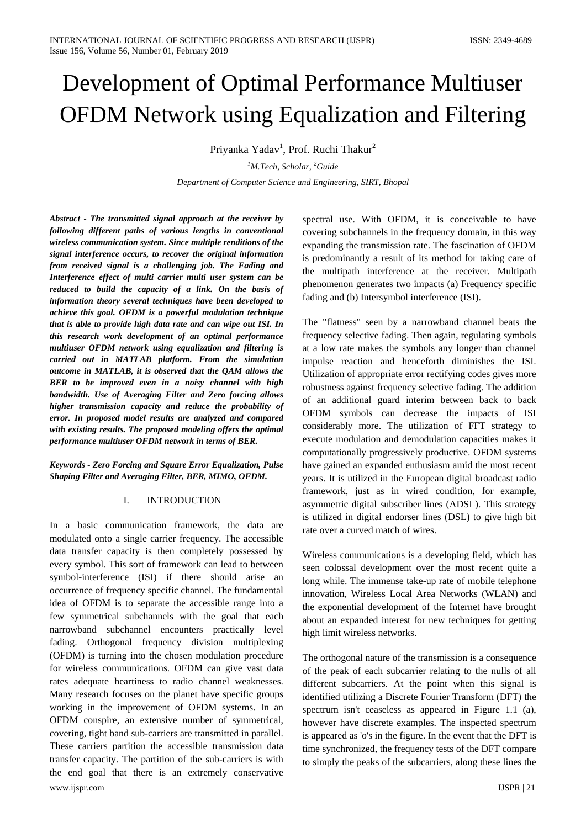# Development of Optimal Performance Multiuser OFDM Network using Equalization and Filtering

Priyanka Yadav<sup>1</sup>, Prof. Ruchi Thakur<sup>2</sup>

*1 M.Tech, Scholar, <sup>2</sup> Guide*

*Department of Computer Science and Engineering, SIRT, Bhopal*

*Abstract - The transmitted signal approach at the receiver by following different paths of various lengths in conventional wireless communication system. Since multiple renditions of the signal interference occurs, to recover the original information from received signal is a challenging job. The Fading and Interference effect of multi carrier multi user system can be reduced to build the capacity of a link. On the basis of information theory several techniques have been developed to achieve this goal. OFDM is a powerful modulation technique that is able to provide high data rate and can wipe out ISI. In this research work development of an optimal performance multiuser OFDM network using equalization and filtering is carried out in MATLAB platform. From the simulation outcome in MATLAB, it is observed that the QAM allows the BER to be improved even in a noisy channel with high bandwidth. Use of Averaging Filter and Zero forcing allows higher transmission capacity and reduce the probability of error. In proposed model results are analyzed and compared with existing results. The proposed modeling offers the optimal performance multiuser OFDM network in terms of BER.*

*Keywords - Zero Forcing and Square Error Equalization, Pulse Shaping Filter and Averaging Filter, BER, MIMO, OFDM.*

## I. INTRODUCTION

www.ijspr.com IJSPR | 21 In a basic communication framework, the data are modulated onto a single carrier frequency. The accessible data transfer capacity is then completely possessed by every symbol. This sort of framework can lead to between symbol-interference (ISI) if there should arise an occurrence of frequency specific channel. The fundamental idea of OFDM is to separate the accessible range into a few symmetrical subchannels with the goal that each narrowband subchannel encounters practically level fading. Orthogonal frequency division multiplexing (OFDM) is turning into the chosen modulation procedure for wireless communications. OFDM can give vast data rates adequate heartiness to radio channel weaknesses. Many research focuses on the planet have specific groups working in the improvement of OFDM systems. In an OFDM conspire, an extensive number of symmetrical, covering, tight band sub-carriers are transmitted in parallel. These carriers partition the accessible transmission data transfer capacity. The partition of the sub-carriers is with the end goal that there is an extremely conservative

spectral use. With OFDM, it is conceivable to have covering subchannels in the frequency domain, in this way expanding the transmission rate. The fascination of OFDM is predominantly a result of its method for taking care of the multipath interference at the receiver. Multipath phenomenon generates two impacts (a) Frequency specific fading and (b) Intersymbol interference (ISI).

The "flatness" seen by a narrowband channel beats the frequency selective fading. Then again, regulating symbols at a low rate makes the symbols any longer than channel impulse reaction and henceforth diminishes the ISI. Utilization of appropriate error rectifying codes gives more robustness against frequency selective fading. The addition of an additional guard interim between back to back OFDM symbols can decrease the impacts of ISI considerably more. The utilization of FFT strategy to execute modulation and demodulation capacities makes it computationally progressively productive. OFDM systems have gained an expanded enthusiasm amid the most recent years. It is utilized in the European digital broadcast radio framework, just as in wired condition, for example, asymmetric digital subscriber lines (ADSL). This strategy is utilized in digital endorser lines (DSL) to give high bit rate over a curved match of wires.

Wireless communications is a developing field, which has seen colossal development over the most recent quite a long while. The immense take-up rate of mobile telephone innovation, Wireless Local Area Networks (WLAN) and the exponential development of the Internet have brought about an expanded interest for new techniques for getting high limit wireless networks.

The orthogonal nature of the transmission is a consequence of the peak of each subcarrier relating to the nulls of all different subcarriers. At the point when this signal is identified utilizing a Discrete Fourier Transform (DFT) the spectrum isn't ceaseless as appeared in Figure 1.1 (a), however have discrete examples. The inspected spectrum is appeared as 'o's in the figure. In the event that the DFT is time synchronized, the frequency tests of the DFT compare to simply the peaks of the subcarriers, along these lines the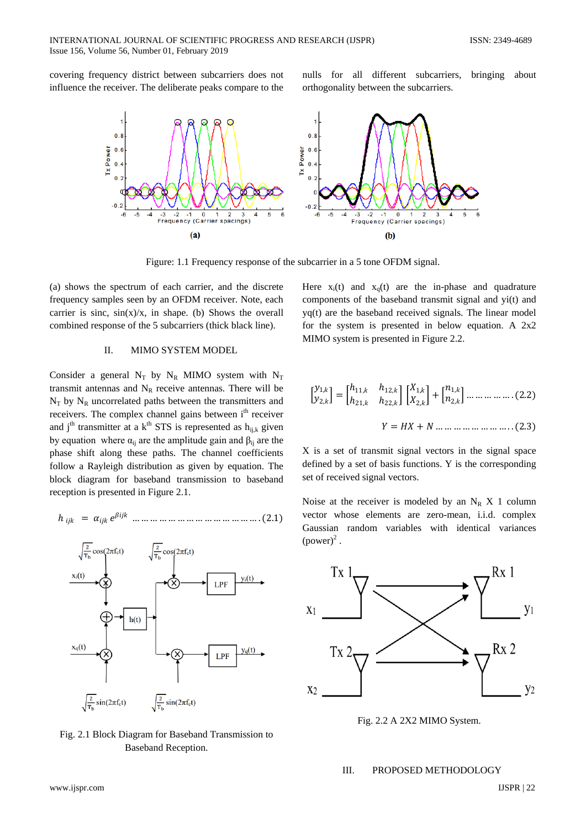covering frequency district between subcarriers does not influence the receiver. The deliberate peaks compare to the nulls for all different subcarriers, bringing about orthogonality between the subcarriers.



Figure: 1.1 Frequency response of the subcarrier in a 5 tone OFDM signal.

(a) shows the spectrum of each carrier, and the discrete frequency samples seen by an OFDM receiver. Note, each carrier is sinc,  $sin(x)/x$ , in shape. (b) Shows the overall combined response of the 5 subcarriers (thick black line).

#### II. MIMO SYSTEM MODEL

Consider a general  $N_T$  by  $N_R$  MIMO system with  $N_T$ transmit antennas and  $N_R$  receive antennas. There will be  $N_T$  by  $N_R$  uncorrelated paths between the transmitters and receivers. The complex channel gains between i<sup>th</sup> receiver and j<sup>th</sup> transmitter at a  $k<sup>th</sup> STS$  is represented as  $h_{ijk}$  given by equation where  $\alpha_{ii}$  are the amplitude gain and  $\beta_{ii}$  are the phase shift along these paths. The channel coefficients follow a Rayleigh distribution as given by equation. The block diagram for baseband transmission to baseband reception is presented in Figure 2.1.

$$
h_{ijk} = \alpha_{ijk} e^{\beta i j k} \dots \dots \dots \dots \dots \dots \dots \dots \dots \dots \dots \dots \dots (2.1)
$$



Fig. 2.1 Block Diagram for Baseband Transmission to Baseband Reception.

Here  $x_i(t)$  and  $x_0(t)$  are the in-phase and quadrature components of the baseband transmit signal and yi(t) and yq(t) are the baseband received signals. The linear model for the system is presented in below equation. A  $2x2$ MIMO system is presented in Figure 2.2.

� 1, 2, � <sup>=</sup> � ℎ11, ℎ12, ℎ21, ℎ22, � � 1, 2, � + � 1, 2, � … … … … … . (2.2) = + … … … … … … … … . . (2.3)

X is a set of transmit signal vectors in the signal space defined by a set of basis functions. Y is the corresponding set of received signal vectors.

Noise at the receiver is modeled by an  $N_R$  X 1 column vector whose elements are zero-mean, i.i.d. complex Gaussian random variables with identical variances  $(power)^2$ .



Fig. 2.2 A 2X2 MIMO System.

## III. PROPOSED METHODOLOGY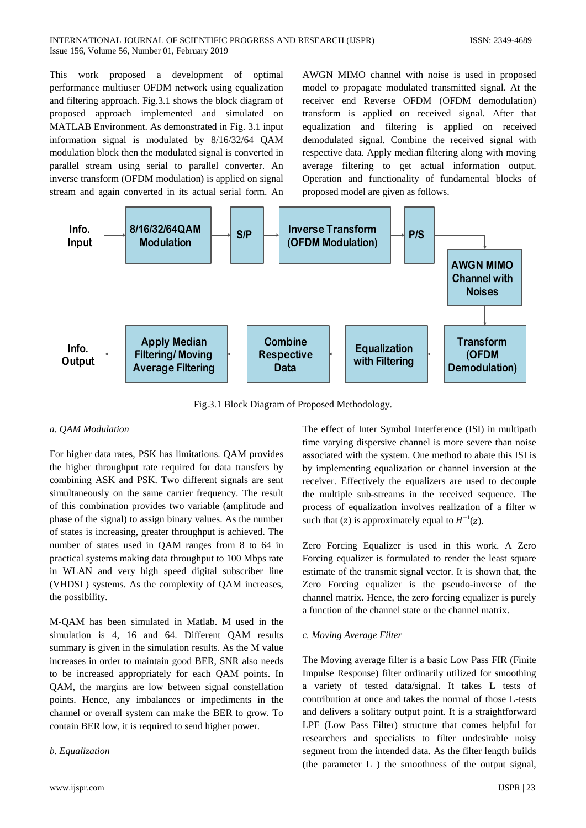#### INTERNATIONAL JOURNAL OF SCIENTIFIC PROGRESS AND RESEARCH (IJSPR) ISSN: 2349-4689 Issue 156, Volume 56, Number 01, February 2019

This work proposed a development of optimal performance multiuser OFDM network using equalization and filtering approach. Fig.3.1 shows the block diagram of proposed approach implemented and simulated on MATLAB Environment. As demonstrated in Fig. 3.1 input information signal is modulated by 8/16/32/64 QAM modulation block then the modulated signal is converted in parallel stream using serial to parallel converter. An inverse transform (OFDM modulation) is applied on signal stream and again converted in its actual serial form. An

AWGN MIMO channel with noise is used in proposed model to propagate modulated transmitted signal. At the receiver end Reverse OFDM (OFDM demodulation) transform is applied on received signal. After that equalization and filtering is applied on received demodulated signal. Combine the received signal with respective data. Apply median filtering along with moving average filtering to get actual information output. Operation and functionality of fundamental blocks of proposed model are given as follows.



Fig.3.1 Block Diagram of Proposed Methodology.

#### *a. QAM Modulation*

For higher data rates, PSK has limitations. QAM provides the higher throughput rate required for data transfers by combining ASK and PSK. Two different signals are sent simultaneously on the same carrier frequency. The result of this combination provides two variable (amplitude and phase of the signal) to assign binary values. As the number of states is increasing, greater throughput is achieved. The number of states used in QAM ranges from 8 to 64 in practical systems making data throughput to 100 Mbps rate in WLAN and very high speed digital subscriber line (VHDSL) systems. As the complexity of QAM increases, the possibility.

M-QAM has been simulated in Matlab. M used in the simulation is 4, 16 and 64. Different QAM results summary is given in the simulation results. As the M value increases in order to maintain good BER, SNR also needs to be increased appropriately for each QAM points. In QAM, the margins are low between signal constellation points. Hence, any imbalances or impediments in the channel or overall system can make the BER to grow. To contain BER low, it is required to send higher power.

#### *b. Equalization*

The effect of Inter Symbol Interference (ISI) in multipath time varying dispersive channel is more severe than noise associated with the system. One method to abate this ISI is by implementing equalization or channel inversion at the receiver. Effectively the equalizers are used to decouple the multiple sub-streams in the received sequence. The process of equalization involves realization of a filter w such that (z) is approximately equal to  $H^{-1}(z)$ .

Zero Forcing Equalizer is used in this work. A Zero Forcing equalizer is formulated to render the least square estimate of the transmit signal vector. It is shown that, the Zero Forcing equalizer is the pseudo-inverse of the channel matrix. Hence, the zero forcing equalizer is purely a function of the channel state or the channel matrix.

#### *c. Moving Average Filter*

The Moving average filter is a basic Low Pass FIR (Finite Impulse Response) filter ordinarily utilized for smoothing a variety of tested data/signal. It takes L tests of contribution at once and takes the normal of those L-tests and delivers a solitary output point. It is a straightforward LPF (Low Pass Filter) structure that comes helpful for researchers and specialists to filter undesirable noisy segment from the intended data. As the filter length builds (the parameter L ) the smoothness of the output signal,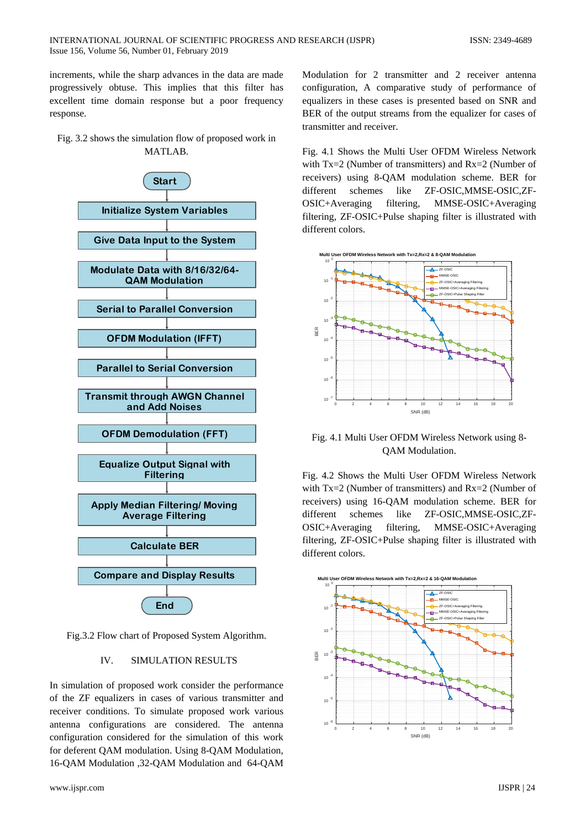increments, while the sharp advances in the data are made progressively obtuse. This implies that this filter has excellent time domain response but a poor frequency response.

Fig. 3.2 shows the simulation flow of proposed work in MATLAB.



Fig.3.2 Flow chart of Proposed System Algorithm.

## IV. SIMULATION RESULTS

In simulation of proposed work consider the performance of the ZF equalizers in cases of various transmitter and receiver conditions. To simulate proposed work various antenna configurations are considered. The antenna configuration considered for the simulation of this work for deferent QAM modulation. Using 8-QAM Modulation, 16-QAM Modulation ,32-QAM Modulation and 64-QAM

Modulation for 2 transmitter and 2 receiver antenna configuration, A comparative study of performance of equalizers in these cases is presented based on SNR and BER of the output streams from the equalizer for cases of transmitter and receiver.

Fig. 4.1 Shows the Multi User OFDM Wireless Network with Tx=2 (Number of transmitters) and Rx=2 (Number of receivers) using 8-QAM modulation scheme. BER for different schemes like ZF-OSIC,MMSE-OSIC,ZF-OSIC+Averaging filtering, MMSE-OSIC+Averaging filtering, ZF-OSIC+Pulse shaping filter is illustrated with different colors.



Fig. 4.1 Multi User OFDM Wireless Network using 8- QAM Modulation.

Fig. 4.2 Shows the Multi User OFDM Wireless Network with Tx=2 (Number of transmitters) and Rx=2 (Number of receivers) using 16-QAM modulation scheme. BER for different schemes like ZF-OSIC,MMSE-OSIC,ZF-OSIC+Averaging filtering, MMSE-OSIC+Averaging filtering, ZF-OSIC+Pulse shaping filter is illustrated with different colors.

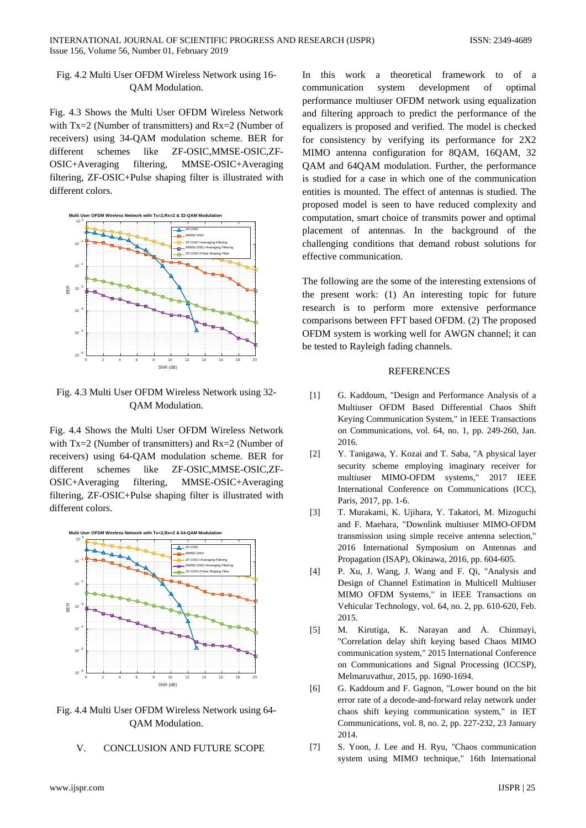## Fig. 4.2 Multi User OFDM Wireless Network using 16- QAM Modulation.

Fig. 4.3 Shows the Multi User OFDM Wireless Network with Tx=2 (Number of transmitters) and Rx=2 (Number of receivers) using 34-QAM modulation scheme. BER for different schemes like ZF-OSIC,MMSE-OSIC,ZF-OSIC+Averaging filtering, MMSE-OSIC+Averaging filtering, ZF-OSIC+Pulse shaping filter is illustrated with different colors.



Fig. 4.3 Multi User OFDM Wireless Network using 32- QAM Modulation.

Fig. 4.4 Shows the Multi User OFDM Wireless Network with Tx=2 (Number of transmitters) and Rx=2 (Number of receivers) using 64-QAM modulation scheme. BER for different schemes like ZF-OSIC,MMSE-OSIC,ZF-OSIC+Averaging filtering, MMSE-OSIC+Averaging filtering, ZF-OSIC+Pulse shaping filter is illustrated with different colors.



Fig. 4.4 Multi User OFDM Wireless Network using 64- QAM Modulation.

## V. CONCLUSION AND FUTURE SCOPE

In this work a theoretical framework to of a communication system development of optimal performance multiuser OFDM network using equalization and filtering approach to predict the performance of the equalizers is proposed and verified. The model is checked for consistency by verifying its performance for 2X2 MIMO antenna configuration for 8QAM, 16QAM, 32 QAM and 64QAM modulation. Further, the performance is studied for a case in which one of the communication entities is mounted. The effect of antennas is studied. The proposed model is seen to have reduced complexity and computation, smart choice of transmits power and optimal placement of antennas. In the background of the challenging conditions that demand robust solutions for effective communication.

The following are the some of the interesting extensions of the present work: (1) An interesting topic for future research is to perform more extensive performance comparisons between FFT based OFDM. (2) The proposed OFDM system is working well for AWGN channel; it can be tested to Rayleigh fading channels.

### **REFERENCES**

- [1] G. Kaddoum, "Design and Performance Analysis of a Multiuser OFDM Based Differential Chaos Shift Keying Communication System," in IEEE Transactions on Communications, vol. 64, no. 1, pp. 249-260, Jan. 2016.
- [2] Y. Tanigawa, Y. Kozai and T. Saba, "A physical layer security scheme employing imaginary receiver for multiuser MIMO-OFDM systems," 2017 IEEE International Conference on Communications (ICC), Paris, 2017, pp. 1-6.
- [3] T. Murakami, K. Ujihara, Y. Takatori, M. Mizoguchi and F. Maehara, "Downlink multiuser MIMO-OFDM transmission using simple receive antenna selection," 2016 International Symposium on Antennas and Propagation (ISAP), Okinawa, 2016, pp. 604-605.
- [4] P. Xu, J. Wang, J. Wang and F. Qi, "Analysis and Design of Channel Estimation in Multicell Multiuser MIMO OFDM Systems," in IEEE Transactions on Vehicular Technology, vol. 64, no. 2, pp. 610-620, Feb. 2015.
- [5] M. Kirutiga, K. Narayan and A. Chinmayi, "Correlation delay shift keying based Chaos MIMO communication system," 2015 International Conference on Communications and Signal Processing (ICCSP), Melmaruvathur, 2015, pp. 1690-1694.
- [6] G. Kaddoum and F. Gagnon, "Lower bound on the bit error rate of a decode-and-forward relay network under chaos shift keying communication system," in IET Communications, vol. 8, no. 2, pp. 227-232, 23 January 2014.
- [7] S. Yoon, J. Lee and H. Ryu, "Chaos communication system using MIMO technique," 16th International